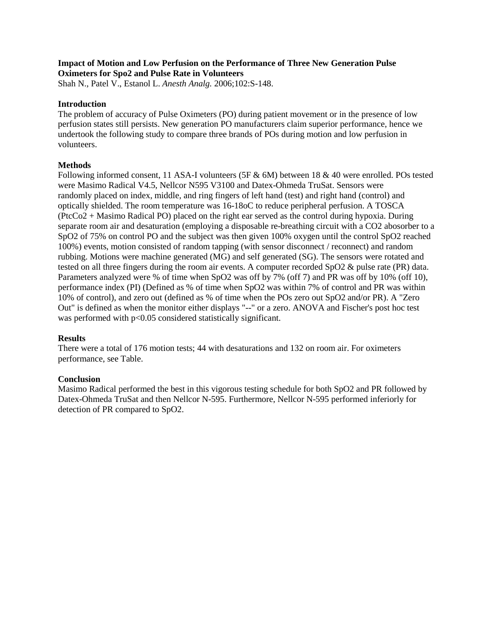### **Impact of Motion and Low Perfusion on the Performance of Three New Generation Pulse Oximeters for Spo2 and Pulse Rate in Volunteers**

Shah N., Patel V., Estanol L. *Anesth Analg.* 2006;102:S-148.

## **Introduction**

The problem of accuracy of Pulse Oximeters (PO) during patient movement or in the presence of low perfusion states still persists. New generation PO manufacturers claim superior performance, hence we undertook the following study to compare three brands of POs during motion and low perfusion in volunteers.

## **Methods**

Following informed consent, 11 ASA-I volunteers (5F & 6M) between 18 & 40 were enrolled. POs tested were Masimo Radical V4.5, Nellcor N595 V3100 and Datex-Ohmeda TruSat. Sensors were randomly placed on index, middle, and ring fingers of left hand (test) and right hand (control) and optically shielded. The room temperature was 16-18oC to reduce peripheral perfusion. A TOSCA (PtcCo2 + Masimo Radical PO) placed on the right ear served as the control during hypoxia. During separate room air and desaturation (employing a disposable re-breathing circuit with a CO2 abosorber to a SpO2 of 75% on control PO and the subject was then given 100% oxygen until the control SpO2 reached 100%) events, motion consisted of random tapping (with sensor disconnect / reconnect) and random rubbing. Motions were machine generated (MG) and self generated (SG). The sensors were rotated and tested on all three fingers during the room air events. A computer recorded SpO2 & pulse rate (PR) data. Parameters analyzed were % of time when SpO2 was off by 7% (off 7) and PR was off by 10% (off 10), performance index (PI) (Defined as % of time when SpO2 was within 7% of control and PR was within 10% of control), and zero out (defined as % of time when the POs zero out SpO2 and/or PR). A "Zero Out" is defined as when the monitor either displays "--" or a zero. ANOVA and Fischer's post hoc test was performed with  $p<0.05$  considered statistically significant.

### **Results**

There were a total of 176 motion tests; 44 with desaturations and 132 on room air. For oximeters performance, see Table.

# **Conclusion**

Masimo Radical performed the best in this vigorous testing schedule for both SpO2 and PR followed by Datex-Ohmeda TruSat and then Nellcor N-595. Furthermore, Nellcor N-595 performed inferiorly for detection of PR compared to SpO2.